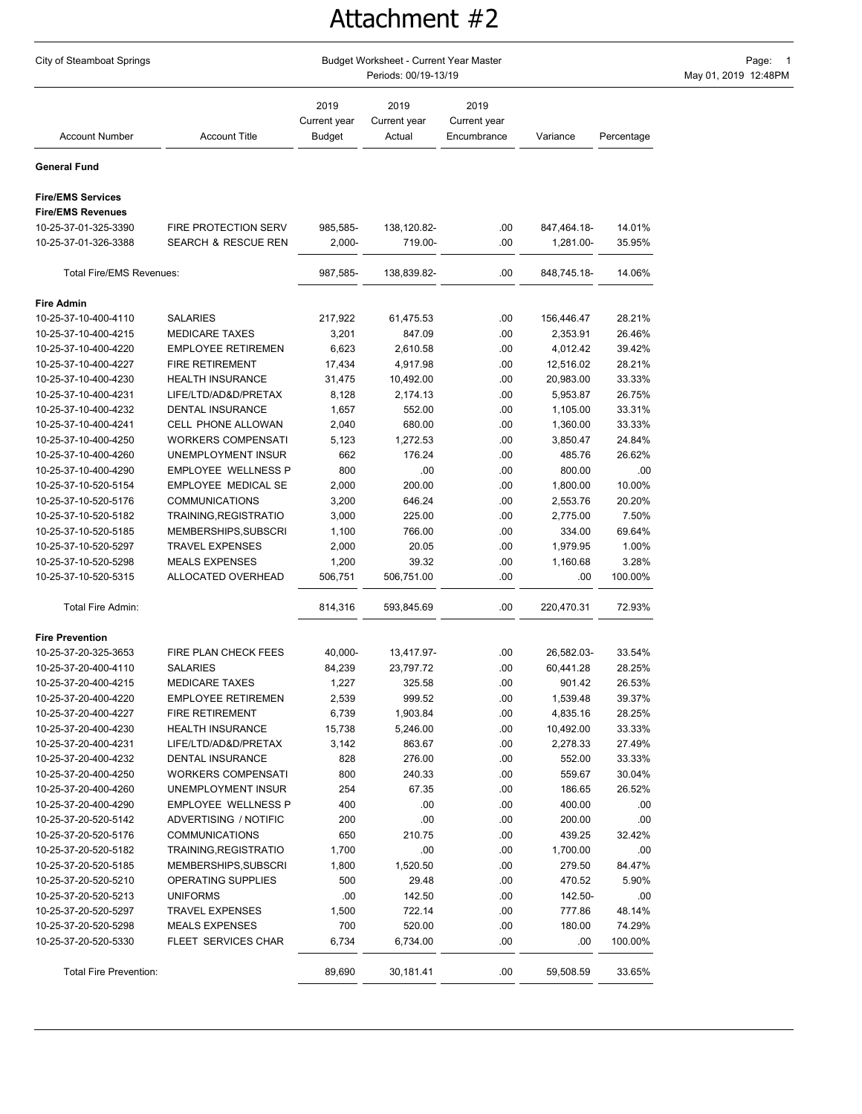## Attachment #2

| City of Steamboat Springs                    |                                                | Page: 1<br>May 01, 2019 12:48PM |                                |                                     |                    |               |  |
|----------------------------------------------|------------------------------------------------|---------------------------------|--------------------------------|-------------------------------------|--------------------|---------------|--|
| <b>Account Number</b>                        | <b>Account Title</b>                           | 2019<br>Current year<br>Budget  | 2019<br>Current year<br>Actual | 2019<br>Current year<br>Encumbrance | Variance           | Percentage    |  |
| General Fund                                 |                                                |                                 |                                |                                     |                    |               |  |
| <b>Fire/EMS Services</b>                     |                                                |                                 |                                |                                     |                    |               |  |
| <b>Fire/EMS Revenues</b>                     |                                                |                                 |                                |                                     |                    |               |  |
| 10-25-37-01-325-3390                         | FIRE PROTECTION SERV                           | 985,585-                        | 138,120.82-                    | .00.                                | 847,464.18-        | 14.01%        |  |
| 10-25-37-01-326-3388                         | SEARCH & RESCUE REN                            | $2,000 -$                       | 719.00-                        | .00                                 | 1,281.00-          | 35.95%        |  |
| <b>Total Fire/EMS Revenues:</b>              |                                                | 987,585-                        | 138,839.82-                    | .00                                 | 848,745.18-        | 14.06%        |  |
| <b>Fire Admin</b>                            |                                                |                                 |                                |                                     |                    |               |  |
| 10-25-37-10-400-4110                         | <b>SALARIES</b>                                | 217,922                         | 61,475.53                      | .00                                 | 156,446.47         | 28.21%        |  |
| 10-25-37-10-400-4215                         | <b>MEDICARE TAXES</b>                          | 3,201                           | 847.09                         | .00                                 | 2,353.91           | 26.46%        |  |
| 10-25-37-10-400-4220                         | <b>EMPLOYEE RETIREMEN</b>                      | 6,623                           | 2,610.58                       | .00                                 | 4,012.42           | 39.42%        |  |
| 10-25-37-10-400-4227                         | <b>FIRE RETIREMENT</b>                         | 17,434                          | 4,917.98                       | .00                                 | 12,516.02          | 28.21%        |  |
| 10-25-37-10-400-4230                         | <b>HEALTH INSURANCE</b>                        | 31,475                          | 10,492.00                      | .00                                 | 20,983.00          | 33.33%        |  |
| 10-25-37-10-400-4231                         | LIFE/LTD/AD&D/PRETAX                           | 8,128                           | 2,174.13                       | .00                                 | 5,953.87           | 26.75%        |  |
| 10-25-37-10-400-4232                         | <b>DENTAL INSURANCE</b>                        | 1,657                           | 552.00                         | .00                                 | 1,105.00           | 33.31%        |  |
| 10-25-37-10-400-4241                         | CELL PHONE ALLOWAN                             | 2,040                           | 680.00                         | .00                                 | 1,360.00           | 33.33%        |  |
| 10-25-37-10-400-4250                         | <b>WORKERS COMPENSATI</b>                      | 5,123                           | 1,272.53                       | .00                                 | 3,850.47           | 24.84%        |  |
| 10-25-37-10-400-4260                         | UNEMPLOYMENT INSUR                             | 662                             | 176.24                         | .00                                 | 485.76             | 26.62%        |  |
| 10-25-37-10-400-4290                         | <b>EMPLOYEE WELLNESS P</b>                     | 800                             | .00                            | .00                                 | 800.00             | .00           |  |
| 10-25-37-10-520-5154                         | EMPLOYEE MEDICAL SE                            | 2,000                           | 200.00                         | .00                                 | 1,800.00           | 10.00%        |  |
| 10-25-37-10-520-5176                         | <b>COMMUNICATIONS</b>                          | 3,200                           | 646.24                         | .00                                 | 2,553.76           | 20.20%        |  |
| 10-25-37-10-520-5182                         | TRAINING, REGISTRATIO                          | 3,000                           | 225.00                         | .00                                 | 2,775.00           | 7.50%         |  |
| 10-25-37-10-520-5185                         | MEMBERSHIPS, SUBSCRI                           | 1,100                           | 766.00                         | .00                                 | 334.00             | 69.64%        |  |
| 10-25-37-10-520-5297                         | <b>TRAVEL EXPENSES</b>                         | 2,000                           | 20.05                          | .00                                 | 1,979.95           | 1.00%         |  |
| 10-25-37-10-520-5298                         | <b>MEALS EXPENSES</b>                          | 1,200                           | 39.32                          | .00                                 | 1,160.68           | 3.28%         |  |
| 10-25-37-10-520-5315                         | ALLOCATED OVERHEAD                             | 506,751                         | 506,751.00                     | .00                                 | .00                | 100.00%       |  |
| Total Fire Admin:                            |                                                | 814,316                         | 593,845.69                     | .00                                 | 220,470.31         | 72.93%        |  |
| <b>Fire Prevention</b>                       |                                                |                                 |                                |                                     |                    |               |  |
| 10-25-37-20-325-3653                         | FIRE PLAN CHECK FEES                           | 40,000-                         | 13,417.97-                     | .00                                 | 26,582.03-         | 33.54%        |  |
| 10-25-37-20-400-4110                         | <b>SALARIES</b>                                | 84,239                          | 23,797.72                      | .00                                 | 60,441.28          | 28.25%        |  |
| 10-25-37-20-400-4215                         | <b>MEDICARE TAXES</b>                          | 1,227                           | 325.58                         | .00                                 | 901.42             | 26.53%        |  |
| 10-25-37-20-400-4220                         | <b>EMPLOYEE RETIREMEN</b>                      | 2,539                           | 999.52                         | .00                                 | 1,539.48           | 39.37%        |  |
| 10-25-37-20-400-4227                         | <b>FIRE RETIREMENT</b>                         | 6,739                           | 1,903.84                       | .00.                                | 4,835.16           | 28.25%        |  |
| 10-25-37-20-400-4230                         | <b>HEALTH INSURANCE</b>                        | 15,738                          | 5,246.00                       | .00                                 | 10,492.00          | 33.33%        |  |
| 10-25-37-20-400-4231                         | LIFE/LTD/AD&D/PRETAX                           | 3,142                           | 863.67                         | .00.                                | 2,278.33           | 27.49%        |  |
| 10-25-37-20-400-4232                         | DENTAL INSURANCE                               | 828                             | 276.00                         | .00.                                | 552.00             | 33.33%        |  |
| 10-25-37-20-400-4250                         | <b>WORKERS COMPENSATI</b>                      | 800                             | 240.33                         | .00                                 | 559.67             | 30.04%        |  |
| 10-25-37-20-400-4260<br>10-25-37-20-400-4290 | UNEMPLOYMENT INSUR                             | 254                             | 67.35                          | .00                                 | 186.65             | 26.52%        |  |
|                                              | <b>EMPLOYEE WELLNESS P</b>                     | 400                             | .00<br>.00                     | .00                                 | 400.00             | .00           |  |
| 10-25-37-20-520-5142<br>10-25-37-20-520-5176 | ADVERTISING / NOTIFIC<br><b>COMMUNICATIONS</b> | 200<br>650                      | 210.75                         | .00.<br>.00.                        | 200.00<br>439.25   | .00<br>32.42% |  |
|                                              |                                                |                                 |                                |                                     |                    |               |  |
| 10-25-37-20-520-5182<br>10-25-37-20-520-5185 | TRAINING, REGISTRATIO<br>MEMBERSHIPS, SUBSCRI  | 1,700<br>1,800                  | .00<br>1,520.50                | .00<br>.00                          | 1,700.00<br>279.50 | .00<br>84.47% |  |
| 10-25-37-20-520-5210                         | OPERATING SUPPLIES                             | 500                             | 29.48                          | .00                                 | 470.52             | 5.90%         |  |
| 10-25-37-20-520-5213                         | <b>UNIFORMS</b>                                | .00                             | 142.50                         | .00.                                | 142.50-            | .00           |  |
| 10-25-37-20-520-5297                         | <b>TRAVEL EXPENSES</b>                         | 1,500                           | 722.14                         | .00                                 | 777.86             | 48.14%        |  |
| 10-25-37-20-520-5298                         | <b>MEALS EXPENSES</b>                          | 700                             | 520.00                         | .00                                 | 180.00             | 74.29%        |  |
| 10-25-37-20-520-5330                         | FLEET SERVICES CHAR                            | 6,734                           | 6,734.00                       | .00                                 | .00                | 100.00%       |  |
| Total Fire Prevention:                       |                                                | 89,690                          | 30,181.41                      | .00.                                | 59,508.59          | 33.65%        |  |
|                                              |                                                |                                 |                                |                                     |                    |               |  |